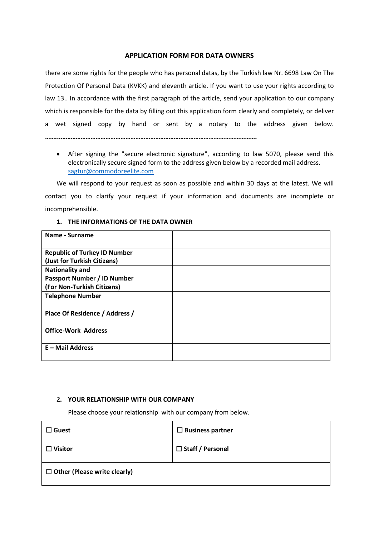## **APPLICATION FORM FOR DATA OWNERS**

there are some rights for the people who has personal datas, by the Turkish law Nr. 6698 Law On The Protection Of Personal Data (KVKK) and eleventh article. If you want to use your rights according to law 13.. In accordance with the first paragraph of the article, send your application to our company which is responsible for the data by filling out this application form clearly and completely, or deliver a wet signed copy by hand or sent by a notary to the address given below.

**……...……………………………………………………………………………………………………….**

 After signing the "secure electronic signature", according to law 5070, please send this electronically secure signed form to the address given below by a recorded mail address. [sagtur@commodoreelite.com](mailto:sagtur@commodoreelite.com)

We will respond to your request as soon as possible and within 30 days at the latest. We will contact you to clarify your request if your information and documents are incomplete or incomprehensible.

## **1. THE INFORMATIONS OF THE DATA OWNER**

| Name - Surname                      |  |
|-------------------------------------|--|
| <b>Republic of Turkey ID Number</b> |  |
| (Just for Turkish Citizens)         |  |
| <b>Nationality and</b>              |  |
| <b>Passport Number / ID Number</b>  |  |
| (For Non-Turkish Citizens)          |  |
| <b>Telephone Number</b>             |  |
| Place Of Residence / Address /      |  |
| <b>Office-Work Address</b>          |  |
| $E$ – Mail Address                  |  |

## **2. YOUR RELATIONSHIP WITH OUR COMPANY**

Please choose your relationship with our company from below.

| $\square$ Guest                     | $\square$ Business partner |
|-------------------------------------|----------------------------|
| $\Box$ Visitor                      | □ Staff / Personel         |
| $\Box$ Other (Please write clearly) |                            |